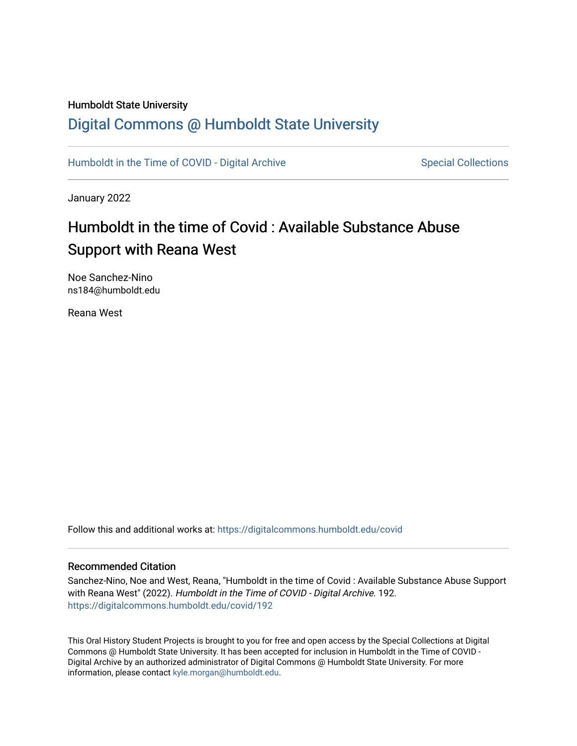# Humboldt State University

# [Digital Commons @ Humboldt State University](https://digitalcommons.humboldt.edu/)

[Humboldt in the Time of COVID - Digital Archive](https://digitalcommons.humboldt.edu/covid) Special Collections

January 2022

# Humboldt in the time of Covid : Available Substance Abuse Support with Reana West

Noe Sanchez-Nino ns184@humboldt.edu

Reana West

Follow this and additional works at: [https://digitalcommons.humboldt.edu/covid](https://digitalcommons.humboldt.edu/covid?utm_source=digitalcommons.humboldt.edu%2Fcovid%2F192&utm_medium=PDF&utm_campaign=PDFCoverPages)

#### Recommended Citation

Sanchez-Nino, Noe and West, Reana, "Humboldt in the time of Covid : Available Substance Abuse Support with Reana West" (2022). Humboldt in the Time of COVID - Digital Archive. 192. [https://digitalcommons.humboldt.edu/covid/192](https://digitalcommons.humboldt.edu/covid/192?utm_source=digitalcommons.humboldt.edu%2Fcovid%2F192&utm_medium=PDF&utm_campaign=PDFCoverPages)

This Oral History Student Projects is brought to you for free and open access by the Special Collections at Digital Commons @ Humboldt State University. It has been accepted for inclusion in Humboldt in the Time of COVID - Digital Archive by an authorized administrator of Digital Commons @ Humboldt State University. For more information, please contact [kyle.morgan@humboldt.edu.](mailto:kyle.morgan@humboldt.edu)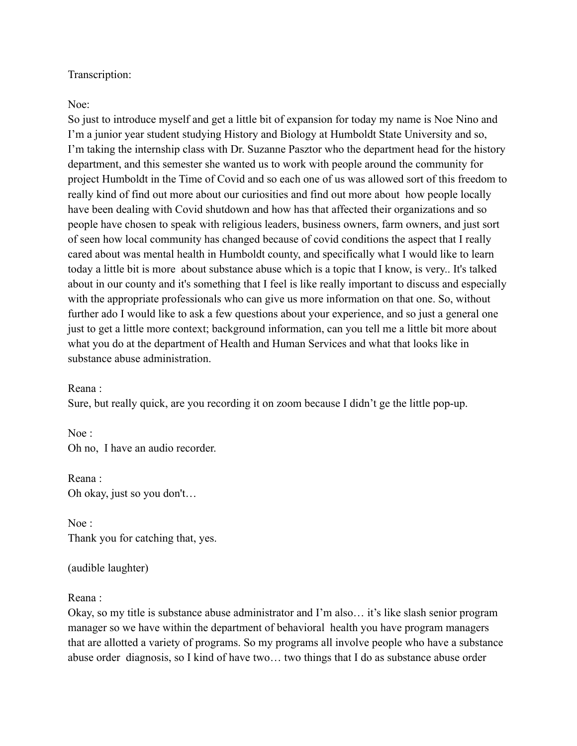## Transcription:

## Noe:

So just to introduce myself and get a little bit of expansion for today my name is Noe Nino and I'm a junior year student studying History and Biology at Humboldt State University and so, I'm taking the internship class with Dr. Suzanne Pasztor who the department head for the history department, and this semester she wanted us to work with people around the community for project Humboldt in the Time of Covid and so each one of us was allowed sort of this freedom to really kind of find out more about our curiosities and find out more about how people locally have been dealing with Covid shutdown and how has that affected their organizations and so people have chosen to speak with religious leaders, business owners, farm owners, and just sort of seen how local community has changed because of covid conditions the aspect that I really cared about was mental health in Humboldt county, and specifically what I would like to learn today a little bit is more about substance abuse which is a topic that I know, is very.. It's talked about in our county and it's something that I feel is like really important to discuss and especially with the appropriate professionals who can give us more information on that one. So, without further ado I would like to ask a few questions about your experience, and so just a general one just to get a little more context; background information, can you tell me a little bit more about what you do at the department of Health and Human Services and what that looks like in substance abuse administration.

Reana :

Sure, but really quick, are you recording it on zoom because I didn't ge the little pop-up.

Noe : Oh no, I have an audio recorder.

Reana : Oh okay, just so you don't…

Noe : Thank you for catching that, yes.

(audible laughter)

## Reana :

Okay, so my title is substance abuse administrator and I'm also… it's like slash senior program manager so we have within the department of behavioral health you have program managers that are allotted a variety of programs. So my programs all involve people who have a substance abuse order diagnosis, so I kind of have two… two things that I do as substance abuse order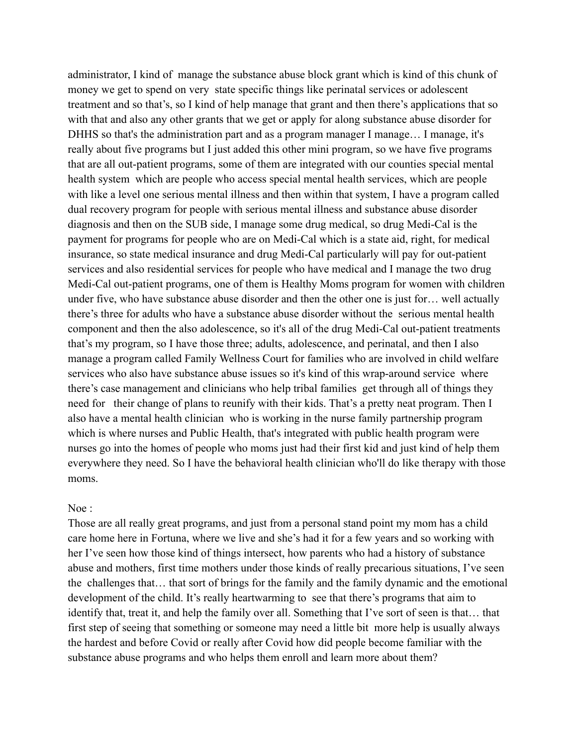administrator, I kind of manage the substance abuse block grant which is kind of this chunk of money we get to spend on very state specific things like perinatal services or adolescent treatment and so that's, so I kind of help manage that grant and then there's applications that so with that and also any other grants that we get or apply for along substance abuse disorder for DHHS so that's the administration part and as a program manager I manage... I manage, it's really about five programs but I just added this other mini program, so we have five programs that are all out-patient programs, some of them are integrated with our counties special mental health system which are people who access special mental health services, which are people with like a level one serious mental illness and then within that system, I have a program called dual recovery program for people with serious mental illness and substance abuse disorder diagnosis and then on the SUB side, I manage some drug medical, so drug Medi-Cal is the payment for programs for people who are on Medi-Cal which is a state aid, right, for medical insurance, so state medical insurance and drug Medi-Cal particularly will pay for out-patient services and also residential services for people who have medical and I manage the two drug Medi-Cal out-patient programs, one of them is Healthy Moms program for women with children under five, who have substance abuse disorder and then the other one is just for… well actually there's three for adults who have a substance abuse disorder without the serious mental health component and then the also adolescence, so it's all of the drug Medi-Cal out-patient treatments that's my program, so I have those three; adults, adolescence, and perinatal, and then I also manage a program called Family Wellness Court for families who are involved in child welfare services who also have substance abuse issues so it's kind of this wrap-around service where there's case management and clinicians who help tribal families get through all of things they need for their change of plans to reunify with their kids. That's a pretty neat program. Then I also have a mental health clinician who is working in the nurse family partnership program which is where nurses and Public Health, that's integrated with public health program were nurses go into the homes of people who moms just had their first kid and just kind of help them everywhere they need. So I have the behavioral health clinician who'll do like therapy with those moms.

#### Noe :

Those are all really great programs, and just from a personal stand point my mom has a child care home here in Fortuna, where we live and she's had it for a few years and so working with her I've seen how those kind of things intersect, how parents who had a history of substance abuse and mothers, first time mothers under those kinds of really precarious situations, I've seen the challenges that… that sort of brings for the family and the family dynamic and the emotional development of the child. It's really heartwarming to see that there's programs that aim to identify that, treat it, and help the family over all. Something that I've sort of seen is that… that first step of seeing that something or someone may need a little bit more help is usually always the hardest and before Covid or really after Covid how did people become familiar with the substance abuse programs and who helps them enroll and learn more about them?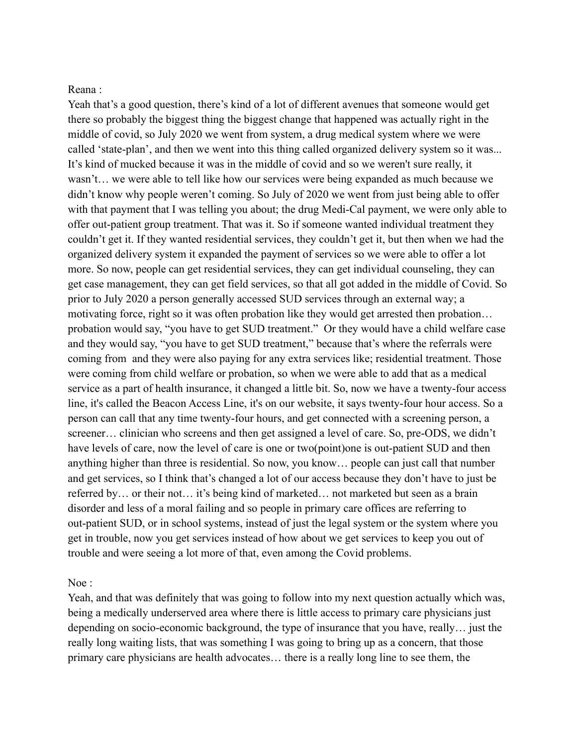## Reana :

Yeah that's a good question, there's kind of a lot of different avenues that someone would get there so probably the biggest thing the biggest change that happened was actually right in the middle of covid, so July 2020 we went from system, a drug medical system where we were called 'state-plan', and then we went into this thing called organized delivery system so it was... It's kind of mucked because it was in the middle of covid and so we weren't sure really, it wasn't… we were able to tell like how our services were being expanded as much because we didn't know why people weren't coming. So July of 2020 we went from just being able to offer with that payment that I was telling you about; the drug Medi-Cal payment, we were only able to offer out-patient group treatment. That was it. So if someone wanted individual treatment they couldn't get it. If they wanted residential services, they couldn't get it, but then when we had the organized delivery system it expanded the payment of services so we were able to offer a lot more. So now, people can get residential services, they can get individual counseling, they can get case management, they can get field services, so that all got added in the middle of Covid. So prior to July 2020 a person generally accessed SUD services through an external way; a motivating force, right so it was often probation like they would get arrested then probation… probation would say, "you have to get SUD treatment." Or they would have a child welfare case and they would say, "you have to get SUD treatment," because that's where the referrals were coming from and they were also paying for any extra services like; residential treatment. Those were coming from child welfare or probation, so when we were able to add that as a medical service as a part of health insurance, it changed a little bit. So, now we have a twenty-four access line, it's called the Beacon Access Line, it's on our website, it says twenty-four hour access. So a person can call that any time twenty-four hours, and get connected with a screening person, a screener… clinician who screens and then get assigned a level of care. So, pre-ODS, we didn't have levels of care, now the level of care is one or two(point)one is out-patient SUD and then anything higher than three is residential. So now, you know… people can just call that number and get services, so I think that's changed a lot of our access because they don't have to just be referred by… or their not… it's being kind of marketed… not marketed but seen as a brain disorder and less of a moral failing and so people in primary care offices are referring to out-patient SUD, or in school systems, instead of just the legal system or the system where you get in trouble, now you get services instead of how about we get services to keep you out of trouble and were seeing a lot more of that, even among the Covid problems.

#### Noe :

Yeah, and that was definitely that was going to follow into my next question actually which was, being a medically underserved area where there is little access to primary care physicians just depending on socio-economic background, the type of insurance that you have, really… just the really long waiting lists, that was something I was going to bring up as a concern, that those primary care physicians are health advocates… there is a really long line to see them, the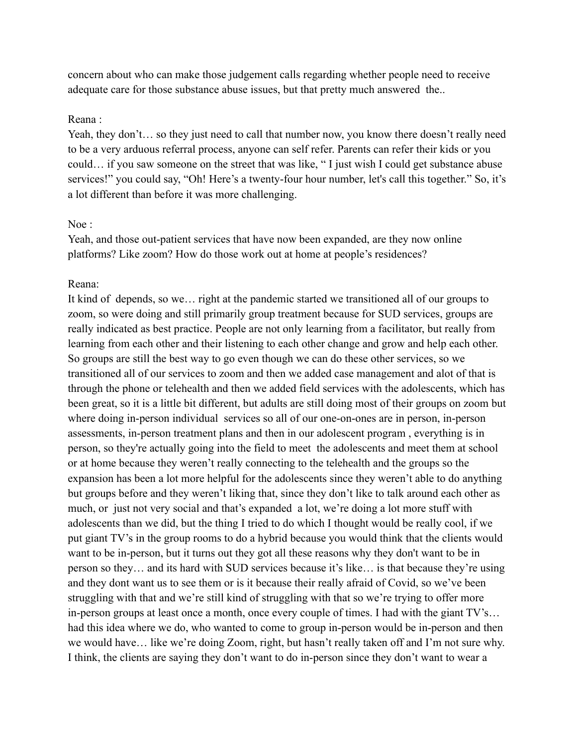concern about who can make those judgement calls regarding whether people need to receive adequate care for those substance abuse issues, but that pretty much answered the..

#### Reana :

Yeah, they don't… so they just need to call that number now, you know there doesn't really need to be a very arduous referral process, anyone can self refer. Parents can refer their kids or you could… if you saw someone on the street that was like, " I just wish I could get substance abuse services!" you could say, "Oh! Here's a twenty-four hour number, let's call this together." So, it's a lot different than before it was more challenging.

#### Noe :

Yeah, and those out-patient services that have now been expanded, are they now online platforms? Like zoom? How do those work out at home at people's residences?

## Reana:

It kind of depends, so we… right at the pandemic started we transitioned all of our groups to zoom, so were doing and still primarily group treatment because for SUD services, groups are really indicated as best practice. People are not only learning from a facilitator, but really from learning from each other and their listening to each other change and grow and help each other. So groups are still the best way to go even though we can do these other services, so we transitioned all of our services to zoom and then we added case management and alot of that is through the phone or telehealth and then we added field services with the adolescents, which has been great, so it is a little bit different, but adults are still doing most of their groups on zoom but where doing in-person individual services so all of our one-on-ones are in person, in-person assessments, in-person treatment plans and then in our adolescent program , everything is in person, so they're actually going into the field to meet the adolescents and meet them at school or at home because they weren't really connecting to the telehealth and the groups so the expansion has been a lot more helpful for the adolescents since they weren't able to do anything but groups before and they weren't liking that, since they don't like to talk around each other as much, or just not very social and that's expanded a lot, we're doing a lot more stuff with adolescents than we did, but the thing I tried to do which I thought would be really cool, if we put giant TV's in the group rooms to do a hybrid because you would think that the clients would want to be in-person, but it turns out they got all these reasons why they don't want to be in person so they… and its hard with SUD services because it's like… is that because they're using and they dont want us to see them or is it because their really afraid of Covid, so we've been struggling with that and we're still kind of struggling with that so we're trying to offer more in-person groups at least once a month, once every couple of times. I had with the giant TV's… had this idea where we do, who wanted to come to group in-person would be in-person and then we would have… like we're doing Zoom, right, but hasn't really taken off and I'm not sure why. I think, the clients are saying they don't want to do in-person since they don't want to wear a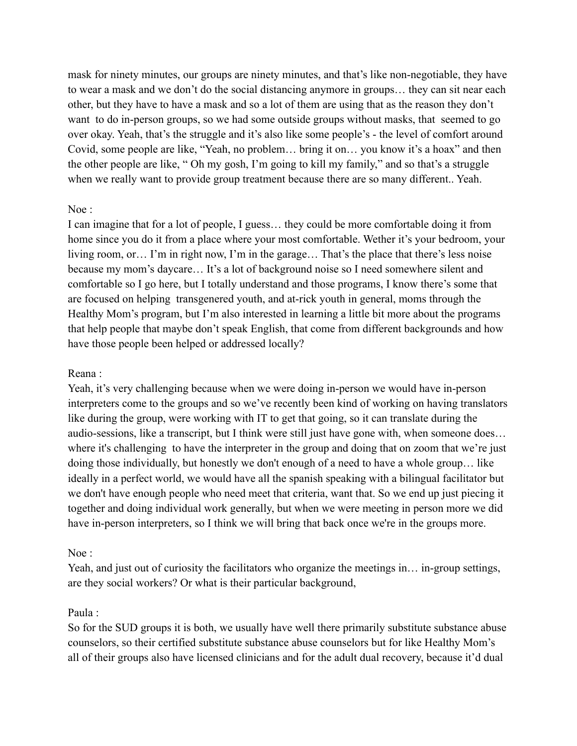mask for ninety minutes, our groups are ninety minutes, and that's like non-negotiable, they have to wear a mask and we don't do the social distancing anymore in groups… they can sit near each other, but they have to have a mask and so a lot of them are using that as the reason they don't want to do in-person groups, so we had some outside groups without masks, that seemed to go over okay. Yeah, that's the struggle and it's also like some people's - the level of comfort around Covid, some people are like, "Yeah, no problem… bring it on… you know it's a hoax" and then the other people are like, " Oh my gosh, I'm going to kill my family," and so that's a struggle when we really want to provide group treatment because there are so many different.. Yeah.

# Noe :

I can imagine that for a lot of people, I guess… they could be more comfortable doing it from home since you do it from a place where your most comfortable. Wether it's your bedroom, your living room, or… I'm in right now, I'm in the garage… That's the place that there's less noise because my mom's daycare… It's a lot of background noise so I need somewhere silent and comfortable so I go here, but I totally understand and those programs, I know there's some that are focused on helping transgenered youth, and at-rick youth in general, moms through the Healthy Mom's program, but I'm also interested in learning a little bit more about the programs that help people that maybe don't speak English, that come from different backgrounds and how have those people been helped or addressed locally?

## Reana :

Yeah, it's very challenging because when we were doing in-person we would have in-person interpreters come to the groups and so we've recently been kind of working on having translators like during the group, were working with IT to get that going, so it can translate during the audio-sessions, like a transcript, but I think were still just have gone with, when someone does… where it's challenging to have the interpreter in the group and doing that on zoom that we're just doing those individually, but honestly we don't enough of a need to have a whole group… like ideally in a perfect world, we would have all the spanish speaking with a bilingual facilitator but we don't have enough people who need meet that criteria, want that. So we end up just piecing it together and doing individual work generally, but when we were meeting in person more we did have in-person interpreters, so I think we will bring that back once we're in the groups more.

# Noe :

Yeah, and just out of curiosity the facilitators who organize the meetings in... in-group settings, are they social workers? Or what is their particular background,

# Paula :

So for the SUD groups it is both, we usually have well there primarily substitute substance abuse counselors, so their certified substitute substance abuse counselors but for like Healthy Mom's all of their groups also have licensed clinicians and for the adult dual recovery, because it'd dual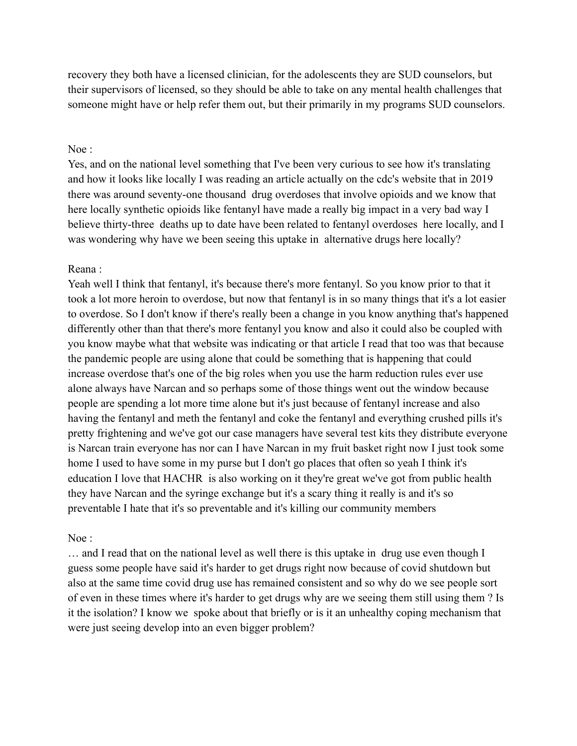recovery they both have a licensed clinician, for the adolescents they are SUD counselors, but their supervisors of licensed, so they should be able to take on any mental health challenges that someone might have or help refer them out, but their primarily in my programs SUD counselors.

#### Noe :

Yes, and on the national level something that I've been very curious to see how it's translating and how it looks like locally I was reading an article actually on the cdc's website that in 2019 there was around seventy-one thousand drug overdoses that involve opioids and we know that here locally synthetic opioids like fentanyl have made a really big impact in a very bad way I believe thirty-three deaths up to date have been related to fentanyl overdoses here locally, and I was wondering why have we been seeing this uptake in alternative drugs here locally?

#### Reana :

Yeah well I think that fentanyl, it's because there's more fentanyl. So you know prior to that it took a lot more heroin to overdose, but now that fentanyl is in so many things that it's a lot easier to overdose. So I don't know if there's really been a change in you know anything that's happened differently other than that there's more fentanyl you know and also it could also be coupled with you know maybe what that website was indicating or that article I read that too was that because the pandemic people are using alone that could be something that is happening that could increase overdose that's one of the big roles when you use the harm reduction rules ever use alone always have Narcan and so perhaps some of those things went out the window because people are spending a lot more time alone but it's just because of fentanyl increase and also having the fentanyl and meth the fentanyl and coke the fentanyl and everything crushed pills it's pretty frightening and we've got our case managers have several test kits they distribute everyone is Narcan train everyone has nor can I have Narcan in my fruit basket right now I just took some home I used to have some in my purse but I don't go places that often so yeah I think it's education I love that HACHR is also working on it they're great we've got from public health they have Narcan and the syringe exchange but it's a scary thing it really is and it's so preventable I hate that it's so preventable and it's killing our community members

#### Noe :

… and I read that on the national level as well there is this uptake in drug use even though I guess some people have said it's harder to get drugs right now because of covid shutdown but also at the same time covid drug use has remained consistent and so why do we see people sort of even in these times where it's harder to get drugs why are we seeing them still using them ? Is it the isolation? I know we spoke about that briefly or is it an unhealthy coping mechanism that were just seeing develop into an even bigger problem?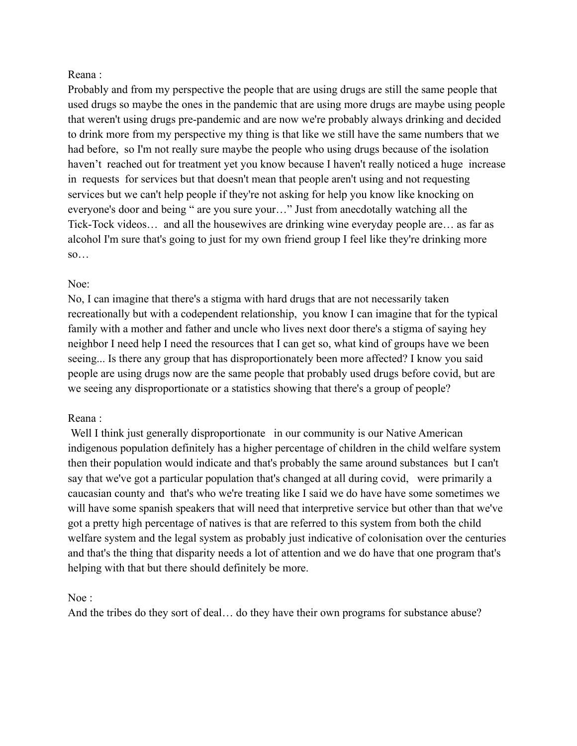## Reana :

Probably and from my perspective the people that are using drugs are still the same people that used drugs so maybe the ones in the pandemic that are using more drugs are maybe using people that weren't using drugs pre-pandemic and are now we're probably always drinking and decided to drink more from my perspective my thing is that like we still have the same numbers that we had before, so I'm not really sure maybe the people who using drugs because of the isolation haven't reached out for treatment yet you know because I haven't really noticed a huge increase in requests for services but that doesn't mean that people aren't using and not requesting services but we can't help people if they're not asking for help you know like knocking on everyone's door and being " are you sure your…" Just from anecdotally watching all the Tick-Tock videos… and all the housewives are drinking wine everyday people are… as far as alcohol I'm sure that's going to just for my own friend group I feel like they're drinking more  $SO...$ 

## Noe:

No, I can imagine that there's a stigma with hard drugs that are not necessarily taken recreationally but with a codependent relationship, you know I can imagine that for the typical family with a mother and father and uncle who lives next door there's a stigma of saying hey neighbor I need help I need the resources that I can get so, what kind of groups have we been seeing... Is there any group that has disproportionately been more affected? I know you said people are using drugs now are the same people that probably used drugs before covid, but are we seeing any disproportionate or a statistics showing that there's a group of people?

# Reana :

Well I think just generally disproportionate in our community is our Native American indigenous population definitely has a higher percentage of children in the child welfare system then their population would indicate and that's probably the same around substances but I can't say that we've got a particular population that's changed at all during covid, were primarily a caucasian county and that's who we're treating like I said we do have have some sometimes we will have some spanish speakers that will need that interpretive service but other than that we've got a pretty high percentage of natives is that are referred to this system from both the child welfare system and the legal system as probably just indicative of colonisation over the centuries and that's the thing that disparity needs a lot of attention and we do have that one program that's helping with that but there should definitely be more.

## Noe :

And the tribes do they sort of deal… do they have their own programs for substance abuse?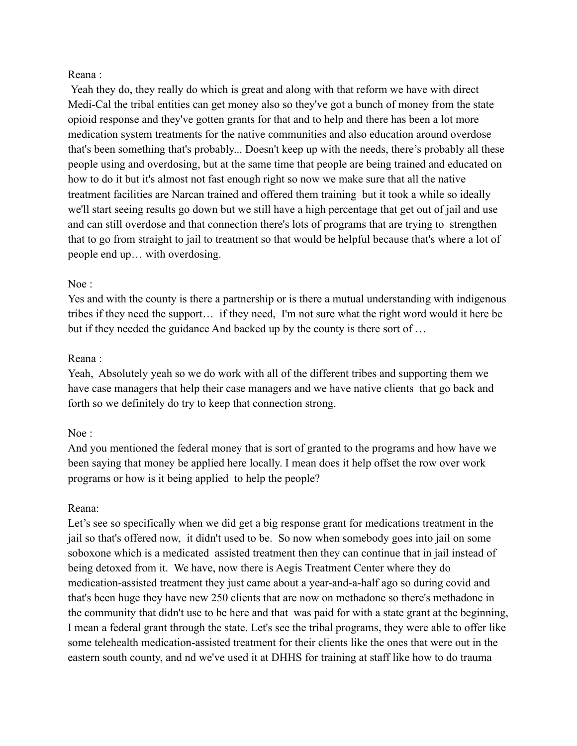## Reana :

Yeah they do, they really do which is great and along with that reform we have with direct Medi-Cal the tribal entities can get money also so they've got a bunch of money from the state opioid response and they've gotten grants for that and to help and there has been a lot more medication system treatments for the native communities and also education around overdose that's been something that's probably... Doesn't keep up with the needs, there's probably all these people using and overdosing, but at the same time that people are being trained and educated on how to do it but it's almost not fast enough right so now we make sure that all the native treatment facilities are Narcan trained and offered them training but it took a while so ideally we'll start seeing results go down but we still have a high percentage that get out of jail and use and can still overdose and that connection there's lots of programs that are trying to strengthen that to go from straight to jail to treatment so that would be helpful because that's where a lot of people end up… with overdosing.

# Noe :

Yes and with the county is there a partnership or is there a mutual understanding with indigenous tribes if they need the support… if they need, I'm not sure what the right word would it here be but if they needed the guidance And backed up by the county is there sort of …

## Reana :

Yeah, Absolutely yeah so we do work with all of the different tribes and supporting them we have case managers that help their case managers and we have native clients that go back and forth so we definitely do try to keep that connection strong.

# Noe :

And you mentioned the federal money that is sort of granted to the programs and how have we been saying that money be applied here locally. I mean does it help offset the row over work programs or how is it being applied to help the people?

# Reana:

Let's see so specifically when we did get a big response grant for medications treatment in the jail so that's offered now, it didn't used to be. So now when somebody goes into jail on some soboxone which is a medicated assisted treatment then they can continue that in jail instead of being detoxed from it. We have, now there is Aegis Treatment Center where they do medication-assisted treatment they just came about a year-and-a-half ago so during covid and that's been huge they have new 250 clients that are now on methadone so there's methadone in the community that didn't use to be here and that was paid for with a state grant at the beginning, I mean a federal grant through the state. Let's see the tribal programs, they were able to offer like some telehealth medication-assisted treatment for their clients like the ones that were out in the eastern south county, and nd we've used it at DHHS for training at staff like how to do trauma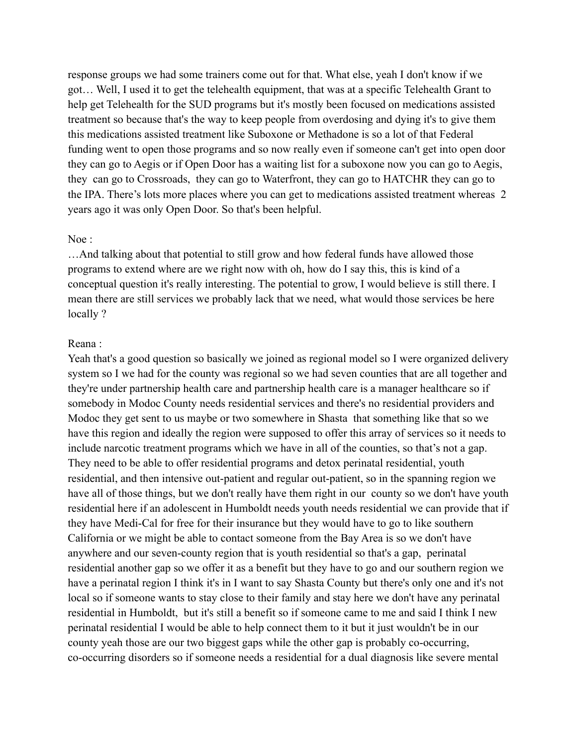response groups we had some trainers come out for that. What else, yeah I don't know if we got… Well, I used it to get the telehealth equipment, that was at a specific Telehealth Grant to help get Telehealth for the SUD programs but it's mostly been focused on medications assisted treatment so because that's the way to keep people from overdosing and dying it's to give them this medications assisted treatment like Suboxone or Methadone is so a lot of that Federal funding went to open those programs and so now really even if someone can't get into open door they can go to Aegis or if Open Door has a waiting list for a suboxone now you can go to Aegis, they can go to Crossroads, they can go to Waterfront, they can go to HATCHR they can go to the IPA. There's lots more places where you can get to medications assisted treatment whereas 2 years ago it was only Open Door. So that's been helpful.

#### Noe :

…And talking about that potential to still grow and how federal funds have allowed those programs to extend where are we right now with oh, how do I say this, this is kind of a conceptual question it's really interesting. The potential to grow, I would believe is still there. I mean there are still services we probably lack that we need, what would those services be here locally?

#### Reana :

Yeah that's a good question so basically we joined as regional model so I were organized delivery system so I we had for the county was regional so we had seven counties that are all together and they're under partnership health care and partnership health care is a manager healthcare so if somebody in Modoc County needs residential services and there's no residential providers and Modoc they get sent to us maybe or two somewhere in Shasta that something like that so we have this region and ideally the region were supposed to offer this array of services so it needs to include narcotic treatment programs which we have in all of the counties, so that's not a gap. They need to be able to offer residential programs and detox perinatal residential, youth residential, and then intensive out-patient and regular out-patient, so in the spanning region we have all of those things, but we don't really have them right in our county so we don't have youth residential here if an adolescent in Humboldt needs youth needs residential we can provide that if they have Medi-Cal for free for their insurance but they would have to go to like southern California or we might be able to contact someone from the Bay Area is so we don't have anywhere and our seven-county region that is youth residential so that's a gap, perinatal residential another gap so we offer it as a benefit but they have to go and our southern region we have a perinatal region I think it's in I want to say Shasta County but there's only one and it's not local so if someone wants to stay close to their family and stay here we don't have any perinatal residential in Humboldt, but it's still a benefit so if someone came to me and said I think I new perinatal residential I would be able to help connect them to it but it just wouldn't be in our county yeah those are our two biggest gaps while the other gap is probably co-occurring, co-occurring disorders so if someone needs a residential for a dual diagnosis like severe mental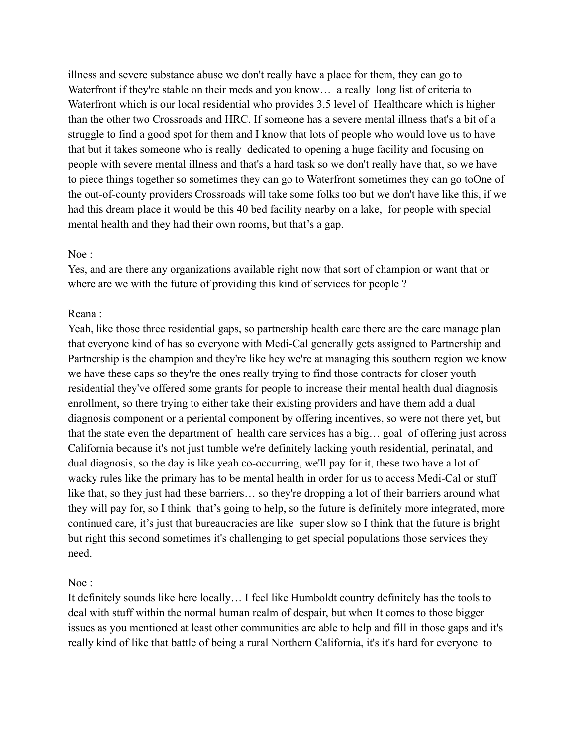illness and severe substance abuse we don't really have a place for them, they can go to Waterfront if they're stable on their meds and you know... a really long list of criteria to Waterfront which is our local residential who provides 3.5 level of Healthcare which is higher than the other two Crossroads and HRC. If someone has a severe mental illness that's a bit of a struggle to find a good spot for them and I know that lots of people who would love us to have that but it takes someone who is really dedicated to opening a huge facility and focusing on people with severe mental illness and that's a hard task so we don't really have that, so we have to piece things together so sometimes they can go to Waterfront sometimes they can go toOne of the out-of-county providers Crossroads will take some folks too but we don't have like this, if we had this dream place it would be this 40 bed facility nearby on a lake, for people with special mental health and they had their own rooms, but that's a gap.

## Noe :

Yes, and are there any organizations available right now that sort of champion or want that or where are we with the future of providing this kind of services for people ?

## Reana :

Yeah, like those three residential gaps, so partnership health care there are the care manage plan that everyone kind of has so everyone with Medi-Cal generally gets assigned to Partnership and Partnership is the champion and they're like hey we're at managing this southern region we know we have these caps so they're the ones really trying to find those contracts for closer youth residential they've offered some grants for people to increase their mental health dual diagnosis enrollment, so there trying to either take their existing providers and have them add a dual diagnosis component or a periental component by offering incentives, so were not there yet, but that the state even the department of health care services has a big… goal of offering just across California because it's not just tumble we're definitely lacking youth residential, perinatal, and dual diagnosis, so the day is like yeah co-occurring, we'll pay for it, these two have a lot of wacky rules like the primary has to be mental health in order for us to access Medi-Cal or stuff like that, so they just had these barriers... so they're dropping a lot of their barriers around what they will pay for, so I think that's going to help, so the future is definitely more integrated, more continued care, it's just that bureaucracies are like super slow so I think that the future is bright but right this second sometimes it's challenging to get special populations those services they need.

## Noe :

It definitely sounds like here locally… I feel like Humboldt country definitely has the tools to deal with stuff within the normal human realm of despair, but when It comes to those bigger issues as you mentioned at least other communities are able to help and fill in those gaps and it's really kind of like that battle of being a rural Northern California, it's it's hard for everyone to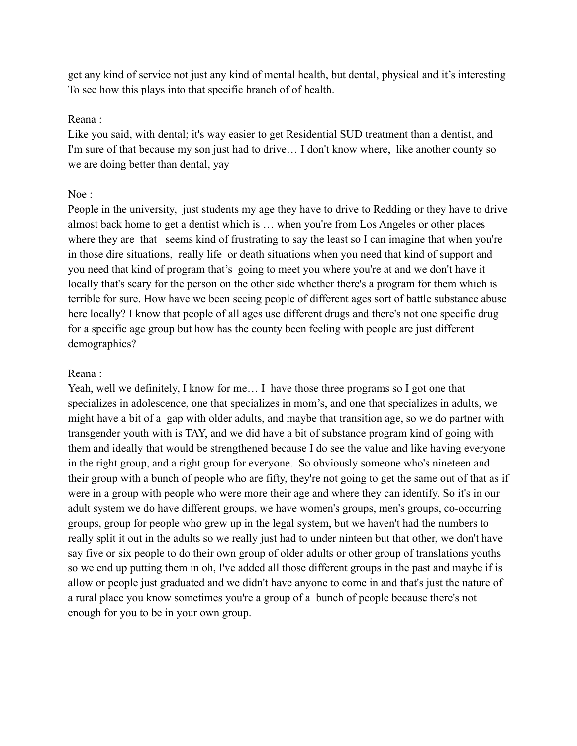get any kind of service not just any kind of mental health, but dental, physical and it's interesting To see how this plays into that specific branch of of health.

## Reana :

Like you said, with dental; it's way easier to get Residential SUD treatment than a dentist, and I'm sure of that because my son just had to drive… I don't know where, like another county so we are doing better than dental, yay

# Noe :

People in the university, just students my age they have to drive to Redding or they have to drive almost back home to get a dentist which is … when you're from Los Angeles or other places where they are that seems kind of frustrating to say the least so I can imagine that when you're in those dire situations, really life or death situations when you need that kind of support and you need that kind of program that's going to meet you where you're at and we don't have it locally that's scary for the person on the other side whether there's a program for them which is terrible for sure. How have we been seeing people of different ages sort of battle substance abuse here locally? I know that people of all ages use different drugs and there's not one specific drug for a specific age group but how has the county been feeling with people are just different demographics?

# Reana :

Yeah, well we definitely, I know for me… I have those three programs so I got one that specializes in adolescence, one that specializes in mom's, and one that specializes in adults, we might have a bit of a gap with older adults, and maybe that transition age, so we do partner with transgender youth with is TAY, and we did have a bit of substance program kind of going with them and ideally that would be strengthened because I do see the value and like having everyone in the right group, and a right group for everyone. So obviously someone who's nineteen and their group with a bunch of people who are fifty, they're not going to get the same out of that as if were in a group with people who were more their age and where they can identify. So it's in our adult system we do have different groups, we have women's groups, men's groups, co-occurring groups, group for people who grew up in the legal system, but we haven't had the numbers to really split it out in the adults so we really just had to under ninteen but that other, we don't have say five or six people to do their own group of older adults or other group of translations youths so we end up putting them in oh, I've added all those different groups in the past and maybe if is allow or people just graduated and we didn't have anyone to come in and that's just the nature of a rural place you know sometimes you're a group of a bunch of people because there's not enough for you to be in your own group.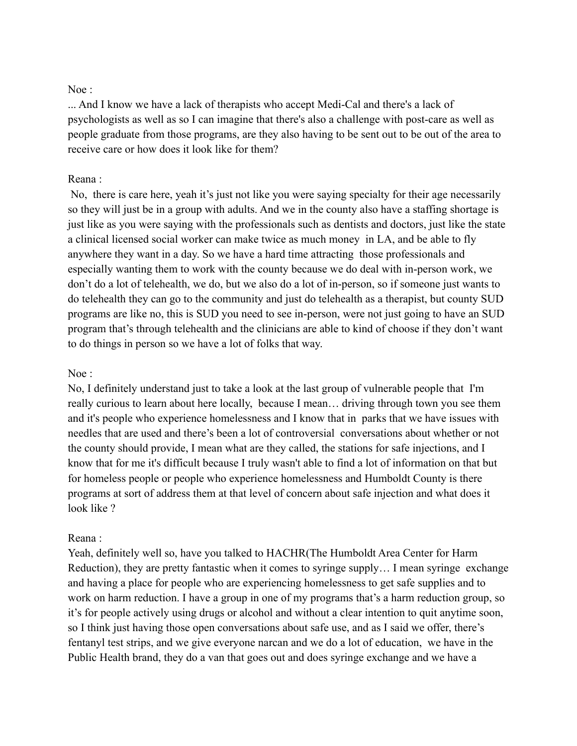## Noe :

... And I know we have a lack of therapists who accept Medi-Cal and there's a lack of psychologists as well as so I can imagine that there's also a challenge with post-care as well as people graduate from those programs, are they also having to be sent out to be out of the area to receive care or how does it look like for them?

#### Reana :

No, there is care here, yeah it's just not like you were saying specialty for their age necessarily so they will just be in a group with adults. And we in the county also have a staffing shortage is just like as you were saying with the professionals such as dentists and doctors, just like the state a clinical licensed social worker can make twice as much money in LA, and be able to fly anywhere they want in a day. So we have a hard time attracting those professionals and especially wanting them to work with the county because we do deal with in-person work, we don't do a lot of telehealth, we do, but we also do a lot of in-person, so if someone just wants to do telehealth they can go to the community and just do telehealth as a therapist, but county SUD programs are like no, this is SUD you need to see in-person, were not just going to have an SUD program that's through telehealth and the clinicians are able to kind of choose if they don't want to do things in person so we have a lot of folks that way.

#### Noe :

No, I definitely understand just to take a look at the last group of vulnerable people that I'm really curious to learn about here locally, because I mean… driving through town you see them and it's people who experience homelessness and I know that in parks that we have issues with needles that are used and there's been a lot of controversial conversations about whether or not the county should provide, I mean what are they called, the stations for safe injections, and I know that for me it's difficult because I truly wasn't able to find a lot of information on that but for homeless people or people who experience homelessness and Humboldt County is there programs at sort of address them at that level of concern about safe injection and what does it look like ?

#### Reana :

Yeah, definitely well so, have you talked to HACHR(The Humboldt Area Center for Harm Reduction), they are pretty fantastic when it comes to syringe supply… I mean syringe exchange and having a place for people who are experiencing homelessness to get safe supplies and to work on harm reduction. I have a group in one of my programs that's a harm reduction group, so it's for people actively using drugs or alcohol and without a clear intention to quit anytime soon, so I think just having those open conversations about safe use, and as I said we offer, there's fentanyl test strips, and we give everyone narcan and we do a lot of education, we have in the Public Health brand, they do a van that goes out and does syringe exchange and we have a